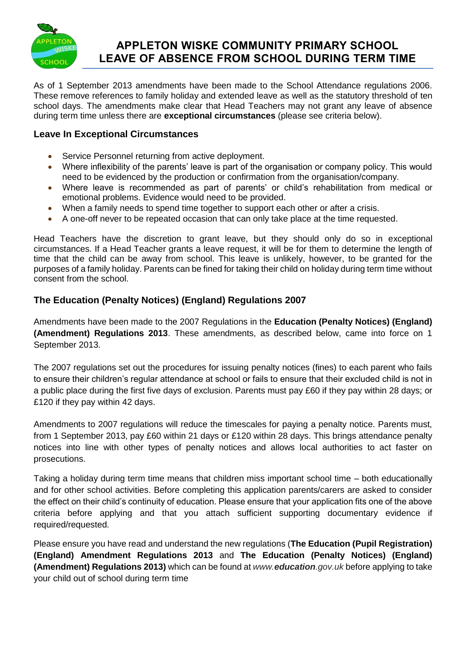

### **APPLETON WISKE COMMUNITY PRIMARY SCHOOL LEAVE OF ABSENCE FROM SCHOOL DURING TERM TIME**

As of 1 September 2013 amendments have been made to the School Attendance regulations 2006. These remove references to family holiday and extended leave as well as the statutory threshold of ten school days. The amendments make clear that Head Teachers may not grant any leave of absence during term time unless there are **exceptional circumstances** (please see criteria below).

### **Leave In Exceptional Circumstances**

- Service Personnel returning from active deployment.
- Where inflexibility of the parents' leave is part of the organisation or company policy. This would need to be evidenced by the production or confirmation from the organisation/company.
- Where leave is recommended as part of parents' or child's rehabilitation from medical or emotional problems. Evidence would need to be provided.
- When a family needs to spend time together to support each other or after a crisis.
- A one-off never to be repeated occasion that can only take place at the time requested.

Head Teachers have the discretion to grant leave, but they should only do so in exceptional circumstances. If a Head Teacher grants a leave request, it will be for them to determine the length of time that the child can be away from school. This leave is unlikely, however, to be granted for the purposes of a family holiday. Parents can be fined for taking their child on holiday during term time without consent from the school.

#### **The Education (Penalty Notices) (England) Regulations 2007**

Amendments have been made to the 2007 Regulations in the **[Education \(Penalty Notices\) \(England\)](http://www.legislation.gov.uk/uksi/2013/757/contents/made)  [\(Amendment\) Regulations 2013](http://www.legislation.gov.uk/uksi/2013/757/contents/made)**. These amendments, as described below, came into force on 1 September 2013.

The 2007 regulations set out the procedures for issuing penalty notices (fines) to each parent who fails to ensure their children's regular attendance at school or fails to ensure that their excluded child is not in a public place during the first five days of exclusion. Parents must pay £60 if they pay within 28 days; or £120 if they pay within 42 days.

Amendments to 2007 regulations will reduce the timescales for paying a penalty notice. Parents must, from 1 September 2013, pay £60 within 21 days or £120 within 28 days. This brings attendance penalty notices into line with other types of penalty notices and allows local authorities to act faster on prosecutions.

Taking a holiday during term time means that children miss important school time – both educationally and for other school activities. Before completing this application parents/carers are asked to consider the effect on their child's continuity of education. Please ensure that your application fits one of the above criteria before applying and that you attach sufficient supporting documentary evidence if required/requested.

Please ensure you have read and understand the new regulations (**The Education (Pupil Registration) (England) Amendment Regulations 2013** and **The [Education \(Penalty Notices\) \(England\)](http://www.legislation.gov.uk/uksi/2013/757/contents/made)  [\(Amendment\) Regulations 2013\)](http://www.legislation.gov.uk/uksi/2013/757/contents/made)** which can be found at *www.education.gov.uk* before applying to take your child out of school during term time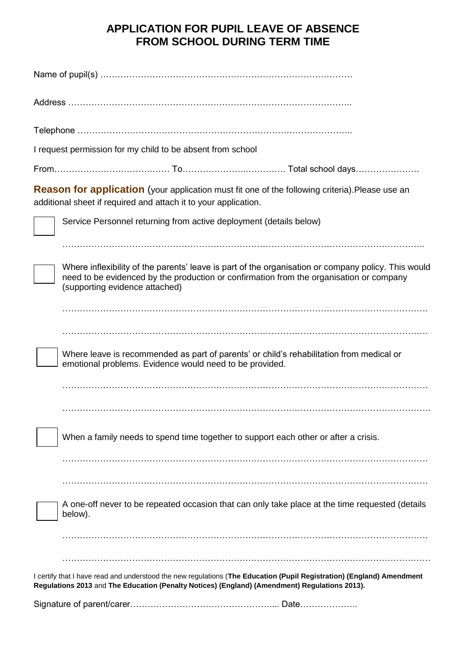## **APPLICATION FOR PUPIL LEAVE OF ABSENCE FROM SCHOOL DURING TERM TIME**

| I request permission for my child to be absent from school                                                                                                                                                                       |
|----------------------------------------------------------------------------------------------------------------------------------------------------------------------------------------------------------------------------------|
|                                                                                                                                                                                                                                  |
| <b>Reason for application</b> (your application must fit one of the following criteria). Please use an<br>additional sheet if required and attach it to your application.                                                        |
| Service Personnel returning from active deployment (details below)                                                                                                                                                               |
| Where inflexibility of the parents' leave is part of the organisation or company policy. This would<br>need to be evidenced by the production or confirmation from the organisation or company<br>(supporting evidence attached) |
|                                                                                                                                                                                                                                  |
| Where leave is recommended as part of parents' or child's rehabilitation from medical or<br>emotional problems. Evidence would need to be provided.                                                                              |
| When a family needs to spend time together to support each other or after a crisis.                                                                                                                                              |
| A one-off never to be repeated occasion that can only take place at the time requested (details<br>below).                                                                                                                       |
| I certify that I have read and understood the new regulations (The Education (Pupil Registration) (England) Amendment<br>Regulations 2013 and The Education (Penalty Notices) (England) (Amendment) Regulations 2013).           |